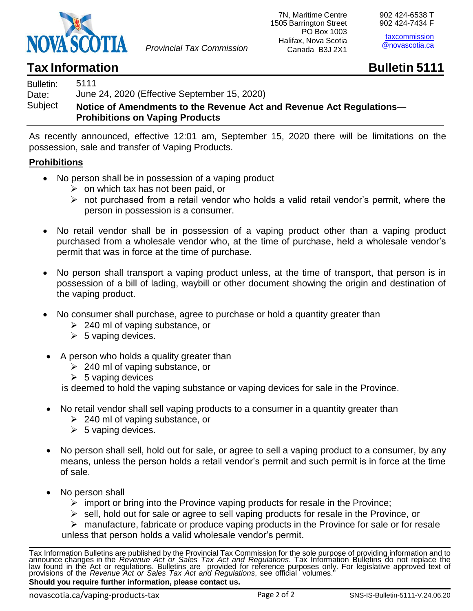

*Provincial Tax Commission*

[taxcommission](mailto:taxcommission@gov.ns.ca)  [@novascotia.ca](mailto:taxcommission@gov.ns.ca)

## **Tax** Information **Bulletin Bulletin Bulletin 5111**

## Bulletin: Date: **Subject** 5111 June 24, 2020 (Effective September 15, 2020) **Notice of Amendments to the Revenue Act and Revenue Act Regulations**— **Prohibitions on Vaping Products**

As recently announced, effective 12:01 am, September 15, 2020 there will be limitations on the possession, sale and transfer of Vaping Products.

## **Prohibitions**

- No person shall be in possession of a vaping product
	- $\triangleright$  on which tax has not been paid, or
	- ➢ not purchased from a retail vendor who holds a valid retail vendor's permit, where the person in possession is a consumer.
- No retail vendor shall be in possession of a vaping product other than a vaping product purchased from a wholesale vendor who, at the time of purchase, held a wholesale vendor's permit that was in force at the time of purchase.
- No person shall transport a vaping product unless, at the time of transport, that person is in possession of a bill of lading, waybill or other document showing the origin and destination of the vaping product.
- No consumer shall purchase, agree to purchase or hold a quantity greater than
	- $\geq$  240 ml of vaping substance, or
	- $\geq 5$  vaping devices.
- A person who holds a quality greater than
	- ➢ 240 ml of vaping substance, or
	- $\geq 5$  vaping devices

is deemed to hold the vaping substance or vaping devices for sale in the Province.

- No retail vendor shall sell vaping products to a consumer in a quantity greater than
	- ➢ 240 ml of vaping substance, or
	- $\geq 5$  vaping devices.
- No person shall sell, hold out for sale, or agree to sell a vaping product to a consumer, by any means, unless the person holds a retail vendor's permit and such permit is in force at the time of sale.
- No person shall
	- $\triangleright$  import or bring into the Province vaping products for resale in the Province;
	- ➢ sell, hold out for sale or agree to sell vaping products for resale in the Province, or

➢ manufacture, fabricate or produce vaping products in the Province for sale or for resale unless that person holds a valid wholesale vendor's permit.

Tax Information Bulletins are published by the Provincial Tax Commission for the sole purpose of providing information and to announce changes in the *Revenue Act or Sales Tax Act and Regulations*. Tax Information Bulletins do not replace the law found in the Act or regulations. Bulletins are provided for reference purposes only. For legislative approved text of provisions of the *Revenue Act or Sales Tax Act and Regulations*, see official volumes." **Should you require further information, please contact us.**